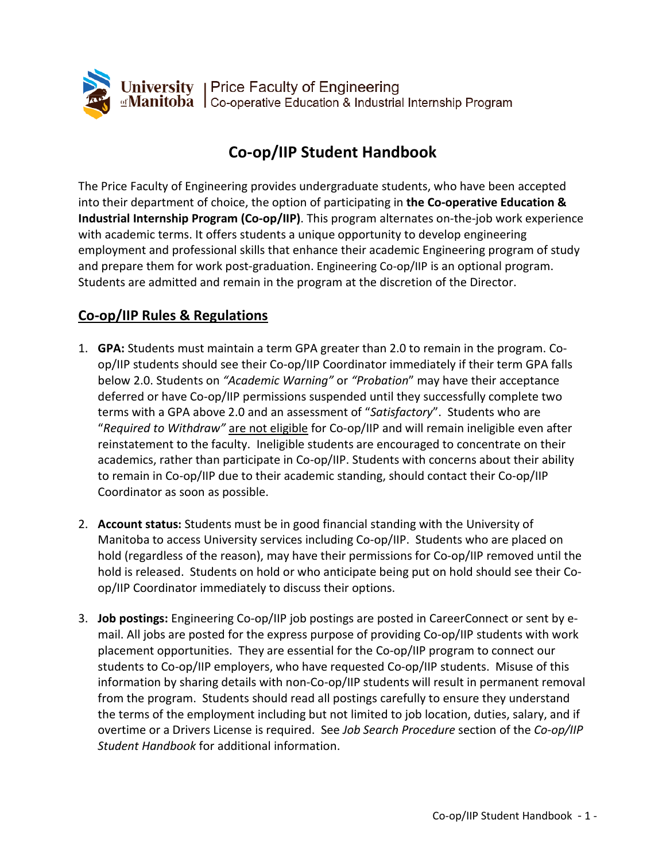

# **Co-op/IIP Student Handbook**

The Price Faculty of Engineering provides undergraduate students, who have been accepted into their department of choice, the option of participating in **the Co-operative Education & Industrial Internship Program (Co-op/IIP)**. This program alternates on-the-job work experience with academic terms. It offers students a unique opportunity to develop engineering employment and professional skills that enhance their academic Engineering program of study and prepare them for work post-graduation. Engineering Co-op/IIP is an optional program. Students are admitted and remain in the program at the discretion of the Director.

# **Co-op/IIP Rules & Regulations**

- 1. **GPA:** Students must maintain a term GPA greater than 2.0 to remain in the program. Coop/IIP students should see their Co-op/IIP Coordinator immediately if their term GPA falls below 2.0. Students on *"Academic Warning"* or *"Probation*" may have their acceptance deferred or have Co-op/IIP permissions suspended until they successfully complete two terms with a GPA above 2.0 and an assessment of "*Satisfactory*". Students who are "*Required to Withdraw"* are not eligible for Co-op/IIP and will remain ineligible even after reinstatement to the faculty. Ineligible students are encouraged to concentrate on their academics, rather than participate in Co-op/IIP. Students with concerns about their ability to remain in Co-op/IIP due to their academic standing, should contact their Co-op/IIP Coordinator as soon as possible.
- 2. **Account status:** Students must be in good financial standing with the University of Manitoba to access University services including Co-op/IIP. Students who are placed on hold (regardless of the reason), may have their permissions for Co-op/IIP removed until the hold is released. Students on hold or who anticipate being put on hold should see their Coop/IIP Coordinator immediately to discuss their options.
- 3. **Job postings:** Engineering Co-op/IIP job postings are posted in CareerConnect or sent by email. All jobs are posted for the express purpose of providing Co-op/IIP students with work placement opportunities. They are essential for the Co-op/IIP program to connect our students to Co-op/IIP employers, who have requested Co-op/IIP students. Misuse of this information by sharing details with non-Co-op/IIP students will result in permanent removal from the program. Students should read all postings carefully to ensure they understand the terms of the employment including but not limited to job location, duties, salary, and if overtime or a Drivers License is required. See *Job Search Procedure* section of the *Co-op/IIP Student Handbook* for additional information.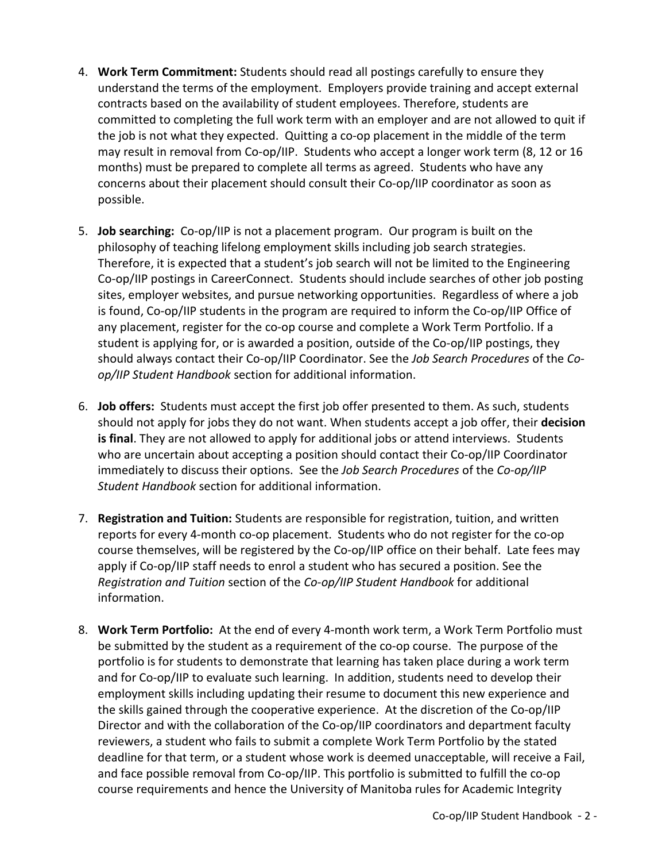- 4. **Work Term Commitment:** Students should read all postings carefully to ensure they understand the terms of the employment. Employers provide training and accept external contracts based on the availability of student employees. Therefore, students are committed to completing the full work term with an employer and are not allowed to quit if the job is not what they expected. Quitting a co-op placement in the middle of the term may result in removal from Co-op/IIP. Students who accept a longer work term (8, 12 or 16 months) must be prepared to complete all terms as agreed. Students who have any concerns about their placement should consult their Co-op/IIP coordinator as soon as possible.
- 5. **Job searching:** Co-op/IIP is not a placement program. Our program is built on the philosophy of teaching lifelong employment skills including job search strategies. Therefore, it is expected that a student's job search will not be limited to the Engineering Co-op/IIP postings in CareerConnect. Students should include searches of other job posting sites, employer websites, and pursue networking opportunities. Regardless of where a job is found, Co-op/IIP students in the program are required to inform the Co-op/IIP Office of any placement, register for the co-op course and complete a Work Term Portfolio. If a student is applying for, or is awarded a position, outside of the Co-op/IIP postings, they should always contact their Co-op/IIP Coordinator. See the *Job Search Procedures* of the *Coop/IIP Student Handbook* section for additional information.
- 6. **Job offers:** Students must accept the first job offer presented to them. As such, students should not apply for jobs they do not want. When students accept a job offer, their **decision is final**. They are not allowed to apply for additional jobs or attend interviews. Students who are uncertain about accepting a position should contact their Co-op/IIP Coordinator immediately to discuss their options. See the *Job Search Procedures* of the *Co-op/IIP Student Handbook* section for additional information.
- 7. **Registration and Tuition:** Students are responsible for registration, tuition, and written reports for every 4-month co-op placement. Students who do not register for the co-op course themselves, will be registered by the Co-op/IIP office on their behalf. Late fees may apply if Co-op/IIP staff needs to enrol a student who has secured a position. See the *Registration and Tuition* section of the *Co-op/IIP Student Handbook* for additional information.
- 8. **Work Term Portfolio:** At the end of every 4-month work term, a Work Term Portfolio must be submitted by the student as a requirement of the co-op course. The purpose of the portfolio is for students to demonstrate that learning has taken place during a work term and for Co-op/IIP to evaluate such learning. In addition, students need to develop their employment skills including updating their resume to document this new experience and the skills gained through the cooperative experience. At the discretion of the Co-op/IIP Director and with the collaboration of the Co-op/IIP coordinators and department faculty reviewers, a student who fails to submit a complete Work Term Portfolio by the stated deadline for that term, or a student whose work is deemed unacceptable, will receive a Fail, and face possible removal from Co-op/IIP. This portfolio is submitted to fulfill the co-op course requirements and hence the University of Manitoba rules for Academic Integrity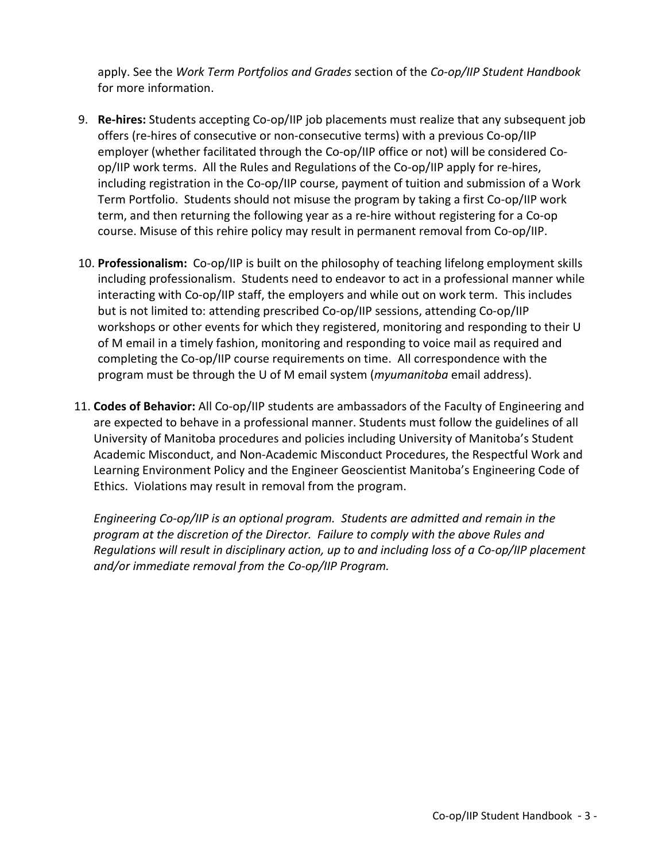apply. See the *Work Term Portfolios and Grades* section of the *Co-op/IIP Student Handbook* for more information.

- 9. **Re-hires:** Students accepting Co-op/IIP job placements must realize that any subsequent job offers (re-hires of consecutive or non-consecutive terms) with a previous Co-op/IIP employer (whether facilitated through the Co-op/IIP office or not) will be considered Coop/IIP work terms. All the Rules and Regulations of the Co-op/IIP apply for re-hires, including registration in the Co-op/IIP course, payment of tuition and submission of a Work Term Portfolio. Students should not misuse the program by taking a first Co-op/IIP work term, and then returning the following year as a re-hire without registering for a Co-op course. Misuse of this rehire policy may result in permanent removal from Co-op/IIP.
- 10. **Professionalism:** Co-op/IIP is built on the philosophy of teaching lifelong employment skills including professionalism. Students need to endeavor to act in a professional manner while interacting with Co-op/IIP staff, the employers and while out on work term. This includes but is not limited to: attending prescribed Co-op/IIP sessions, attending Co-op/IIP workshops or other events for which they registered, monitoring and responding to their U of M email in a timely fashion, monitoring and responding to voice mail as required and completing the Co-op/IIP course requirements on time. All correspondence with the program must be through the U of M email system (*myumanitoba* email address).
- 11. **Codes of Behavior:** All Co-op/IIP students are ambassadors of the Faculty of Engineering and are expected to behave in a professional manner. Students must follow the guidelines of all University of Manitoba procedures and policies including University of Manitoba's Student Academic Misconduct, and Non-Academic Misconduct Procedures, the Respectful Work and Learning Environment Policy and the Engineer Geoscientist Manitoba's Engineering Code of Ethics. Violations may result in removal from the program.

*Engineering Co-op/IIP is an optional program. Students are admitted and remain in the program at the discretion of the Director. Failure to comply with the above Rules and Regulations will result in disciplinary action, up to and including loss of a Co-op/IIP placement and/or immediate removal from the Co-op/IIP Program.*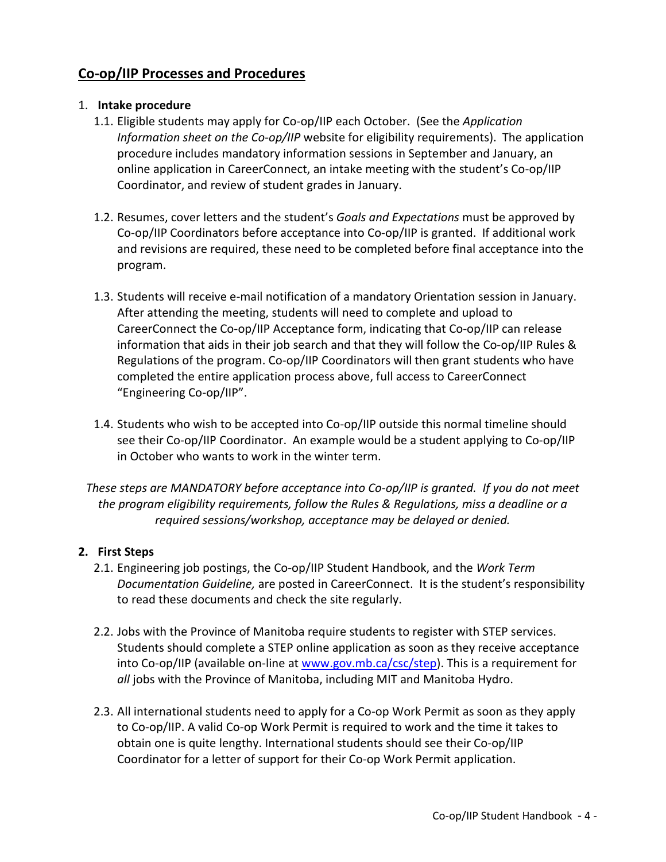# **Co-op/IIP Processes and Procedures**

#### 1. **Intake procedure**

- 1.1. Eligible students may apply for Co-op/IIP each October. (See the *Application Information sheet on the Co-op/IIP* website for eligibility requirements). The application procedure includes mandatory information sessions in September and January, an online application in CareerConnect, an intake meeting with the student's Co-op/IIP Coordinator, and review of student grades in January.
- 1.2. Resumes, cover letters and the student's *Goals and Expectations* must be approved by Co-op/IIP Coordinators before acceptance into Co-op/IIP is granted. If additional work and revisions are required, these need to be completed before final acceptance into the program.
- 1.3. Students will receive e-mail notification of a mandatory Orientation session in January. After attending the meeting, students will need to complete and upload to CareerConnect the Co-op/IIP Acceptance form, indicating that Co-op/IIP can release information that aids in their job search and that they will follow the Co-op/IIP Rules & Regulations of the program. Co-op/IIP Coordinators will then grant students who have completed the entire application process above, full access to CareerConnect "Engineering Co-op/IIP".
- 1.4. Students who wish to be accepted into Co-op/IIP outside this normal timeline should see their Co-op/IIP Coordinator. An example would be a student applying to Co-op/IIP in October who wants to work in the winter term.

*These steps are MANDATORY before acceptance into Co-op/IIP is granted. If you do not meet the program eligibility requirements, follow the Rules & Regulations, miss a deadline or a required sessions/workshop, acceptance may be delayed or denied.*

#### **2. First Steps**

- 2.1. Engineering job postings, the Co-op/IIP Student Handbook, and the *Work Term Documentation Guideline,* are posted in CareerConnect. It is the student's responsibility to read these documents and check the site regularly.
- 2.2. Jobs with the Province of Manitoba require students to register with STEP services. Students should complete a STEP online application as soon as they receive acceptance into Co-op/IIP (available on-line at [www.gov.mb.ca/csc/step\)](http://www.gov.mb.ca/csc/step). This is a requirement for all jobs with the Province of Manitoba, including MIT and Manitoba Hydro.
- 2.3. All international students need to apply for a Co-op Work Permit as soon as they apply to Co-op/IIP. A valid Co-op Work Permit is required to work and the time it takes to obtain one is quite lengthy. International students should see their Co-op/IIP Coordinator for a letter of support for their Co-op Work Permit application.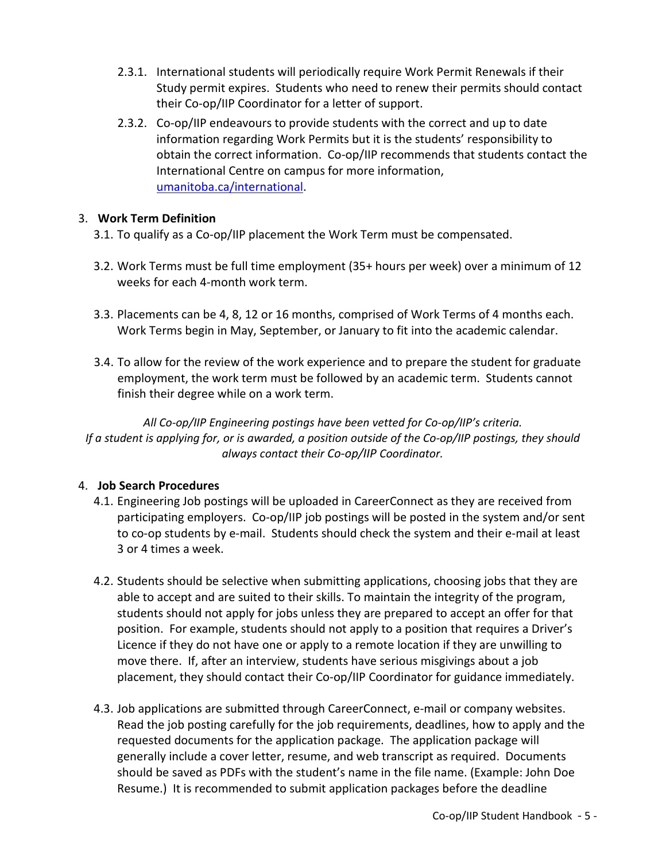- 2.3.1. International students will periodically require Work Permit Renewals if their Study permit expires. Students who need to renew their permits should contact their Co-op/IIP Coordinator for a letter of support.
- 2.3.2. Co-op/IIP endeavours to provide students with the correct and up to date information regarding Work Permits but it is the students' responsibility to obtain the correct information. Co-op/IIP recommends that students contact the International Centre on campus for more information, [umanitoba.ca/international.](https://umanitoba.ca/international/)

### 3. **Work Term Definition**

- 3.1. To qualify as a Co-op/IIP placement the Work Term must be compensated.
- 3.2. Work Terms must be full time employment (35+ hours per week) over a minimum of 12 weeks for each 4-month work term.
- 3.3. Placements can be 4, 8, 12 or 16 months, comprised of Work Terms of 4 months each. Work Terms begin in May, September, or January to fit into the academic calendar.
- 3.4. To allow for the review of the work experience and to prepare the student for graduate employment, the work term must be followed by an academic term. Students cannot finish their degree while on a work term.

*All Co-op/IIP Engineering postings have been vetted for Co-op/IIP's criteria. If a student is applying for, or is awarded, a position outside of the Co-op/IIP postings, they should always contact their Co-op/IIP Coordinator.*

### 4. **Job Search Procedures**

- 4.1. Engineering Job postings will be uploaded in CareerConnect as they are received from participating employers. Co-op/IIP job postings will be posted in the system and/or sent to co-op students by e-mail. Students should check the system and their e-mail at least 3 or 4 times a week.
- 4.2. Students should be selective when submitting applications, choosing jobs that they are able to accept and are suited to their skills. To maintain the integrity of the program, students should not apply for jobs unless they are prepared to accept an offer for that position. For example, students should not apply to a position that requires a Driver's Licence if they do not have one or apply to a remote location if they are unwilling to move there. If, after an interview, students have serious misgivings about a job placement, they should contact their Co-op/IIP Coordinator for guidance immediately.
- 4.3. Job applications are submitted through CareerConnect, e-mail or company websites. Read the job posting carefully for the job requirements, deadlines, how to apply and the requested documents for the application package. The application package will generally include a cover letter, resume, and web transcript as required. Documents should be saved as PDFs with the student's name in the file name. (Example: John Doe Resume.) It is recommended to submit application packages before the deadline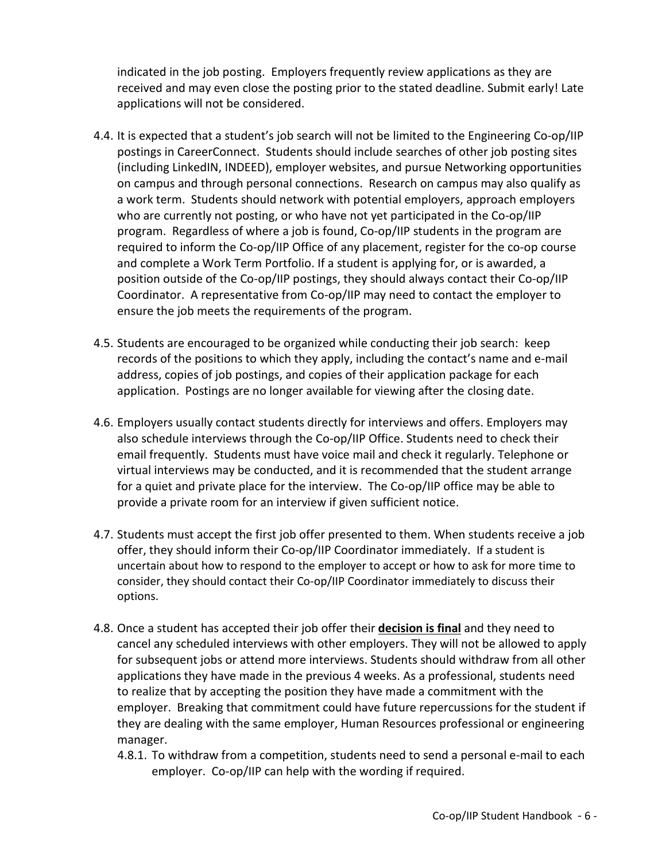indicated in the job posting. Employers frequently review applications as they are received and may even close the posting prior to the stated deadline. Submit early! Late applications will not be considered.

- 4.4. It is expected that a student's job search will not be limited to the Engineering Co-op/IIP postings in CareerConnect. Students should include searches of other job posting sites (including LinkedIN, INDEED), employer websites, and pursue Networking opportunities on campus and through personal connections. Research on campus may also qualify as a work term. Students should network with potential employers, approach employers who are currently not posting, or who have not yet participated in the Co-op/IIP program. Regardless of where a job is found, Co-op/IIP students in the program are required to inform the Co-op/IIP Office of any placement, register for the co-op course and complete a Work Term Portfolio. If a student is applying for, or is awarded, a position outside of the Co-op/IIP postings, they should always contact their Co-op/IIP Coordinator. A representative from Co-op/IIP may need to contact the employer to ensure the job meets the requirements of the program.
- 4.5. Students are encouraged to be organized while conducting their job search: keep records of the positions to which they apply, including the contact's name and e-mail address, copies of job postings, and copies of their application package for each application. Postings are no longer available for viewing after the closing date.
- 4.6. Employers usually contact students directly for interviews and offers. Employers may also schedule interviews through the Co-op/IIP Office. Students need to check their email frequently. Students must have voice mail and check it regularly. Telephone or virtual interviews may be conducted, and it is recommended that the student arrange for a quiet and private place for the interview. The Co-op/IIP office may be able to provide a private room for an interview if given sufficient notice.
- 4.7. Students must accept the first job offer presented to them. When students receive a job offer, they should inform their Co-op/IIP Coordinator immediately. If a student is uncertain about how to respond to the employer to accept or how to ask for more time to consider, they should contact their Co-op/IIP Coordinator immediately to discuss their options.
- 4.8. Once a student has accepted their job offer their **decision is final** and they need to cancel any scheduled interviews with other employers. They will not be allowed to apply for subsequent jobs or attend more interviews. Students should withdraw from all other applications they have made in the previous 4 weeks. As a professional, students need to realize that by accepting the position they have made a commitment with the employer. Breaking that commitment could have future repercussions for the student if they are dealing with the same employer, Human Resources professional or engineering manager.
	- 4.8.1. To withdraw from a competition, students need to send a personal e-mail to each employer. Co-op/IIP can help with the wording if required.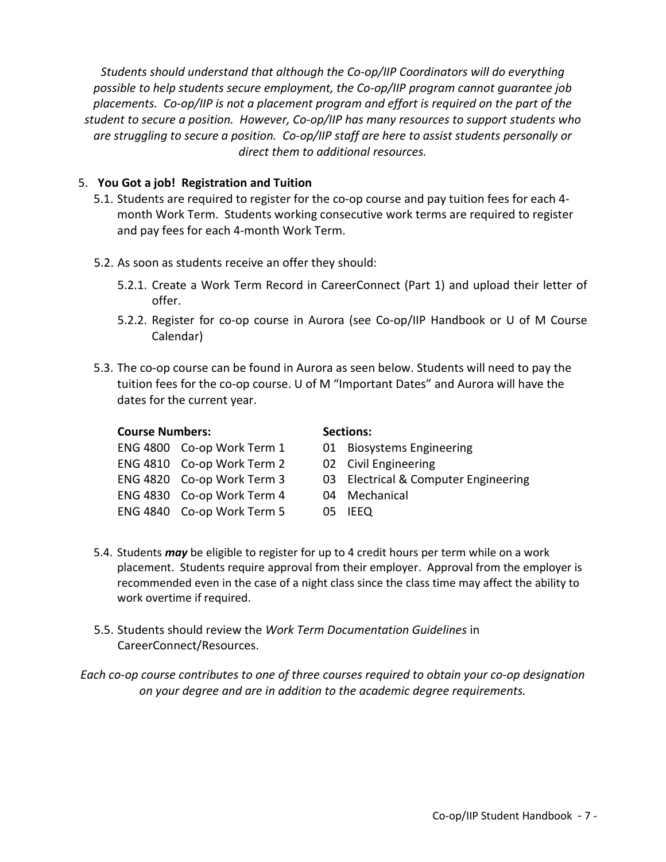*Students should understand that although the Co-op/IIP Coordinators will do everything possible to help students secure employment, the Co-op/IIP program cannot guarantee job placements. Co-op/IIP is not a placement program and effort is required on the part of the student to secure a position. However, Co-op/IIP has many resources to support students who are struggling to secure a position. Co-op/IIP staff are here to assist students personally or direct them to additional resources.*

#### 5. **You Got a job! Registration and Tuition**

- 5.1. Students are required to register for the co-op course and pay tuition fees for each 4 month Work Term. Students working consecutive work terms are required to register and pay fees for each 4-month Work Term.
- 5.2. As soon as students receive an offer they should:
	- 5.2.1. Create a Work Term Record in CareerConnect (Part 1) and upload their letter of offer.
	- 5.2.2. Register for co-op course in Aurora (see Co-op/IIP Handbook or U of M Course Calendar)
- 5.3. The co-op course can be found in Aurora as seen below. Students will need to pay the tuition fees for the co-op course. U of M "Important Dates" and Aurora will have the dates for the current year.

#### **Course Numbers: Sections: Sections:**

| ENG 4800 Co-op Work Term 1 | 01 Biosystems Engin  |
|----------------------------|----------------------|
| ENG 4810 Co-op Work Term 2 | 02 Civil Engineering |
| ENG 4820 Co-op Work Term 3 | 03 Electrical & Comp |
| ENG 4830 Co-op Work Term 4 | 04 Mechanical        |
| ENG 4840 Co-op Work Term 5 | 05 IEEQ              |

- 01 Biosystems Engineering
- 
- ENG 4820 Co-op Work Term 3 03 Electrical & Computer Engineering
	-
	-
- 5.4. Students *may* be eligible to register for up to 4 credit hours per term while on a work placement. Students require approval from their employer. Approval from the employer is recommended even in the case of a night class since the class time may affect the ability to work overtime if required.
- 5.5. Students should review the *Work Term Documentation Guidelines* in CareerConnect/Resources.

*Each co-op course contributes to one of three courses required to obtain your co-op designation on your degree and are in addition to the academic degree requirements.*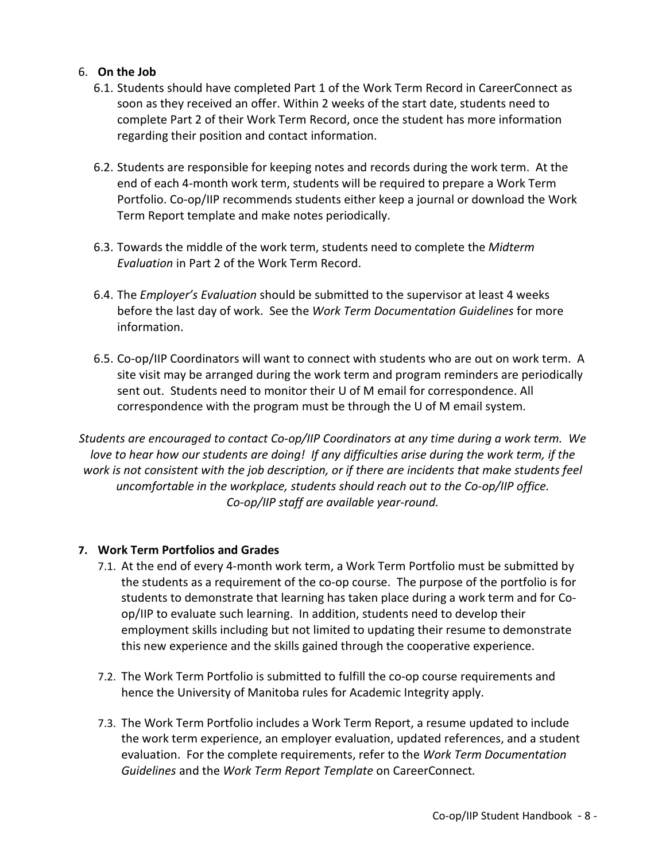#### 6. **On the Job**

- 6.1. Students should have completed Part 1 of the Work Term Record in CareerConnect as soon as they received an offer. Within 2 weeks of the start date, students need to complete Part 2 of their Work Term Record, once the student has more information regarding their position and contact information.
- 6.2. Students are responsible for keeping notes and records during the work term. At the end of each 4-month work term, students will be required to prepare a Work Term Portfolio. Co-op/IIP recommends students either keep a journal or download the Work Term Report template and make notes periodically.
- 6.3. Towards the middle of the work term, students need to complete the *Midterm Evaluation* in Part 2 of the Work Term Record.
- 6.4. The *Employer's Evaluation* should be submitted to the supervisor at least 4 weeks before the last day of work. See the *Work Term Documentation Guidelines* for more information.
- 6.5. Co-op/IIP Coordinators will want to connect with students who are out on work term. A site visit may be arranged during the work term and program reminders are periodically sent out. Students need to monitor their U of M email for correspondence. All correspondence with the program must be through the U of M email system.

*Students are encouraged to contact Co-op/IIP Coordinators at any time during a work term. We love to hear how our students are doing! If any difficulties arise during the work term, if the work is not consistent with the job description, or if there are incidents that make students feel uncomfortable in the workplace, students should reach out to the Co-op/IIP office. Co-op/IIP staff are available year-round.*

#### **7. Work Term Portfolios and Grades**

- 7.1. At the end of every 4-month work term, a Work Term Portfolio must be submitted by the students as a requirement of the co-op course. The purpose of the portfolio is for students to demonstrate that learning has taken place during a work term and for Coop/IIP to evaluate such learning. In addition, students need to develop their employment skills including but not limited to updating their resume to demonstrate this new experience and the skills gained through the cooperative experience.
- 7.2. The Work Term Portfolio is submitted to fulfill the co-op course requirements and hence the University of Manitoba rules for Academic Integrity apply.
- 7.3. The Work Term Portfolio includes a Work Term Report, a resume updated to include the work term experience, an employer evaluation, updated references, and a student evaluation. For the complete requirements, refer to the *Work Term Documentation Guidelines* and the *Work Term Report Template* on CareerConnect*.*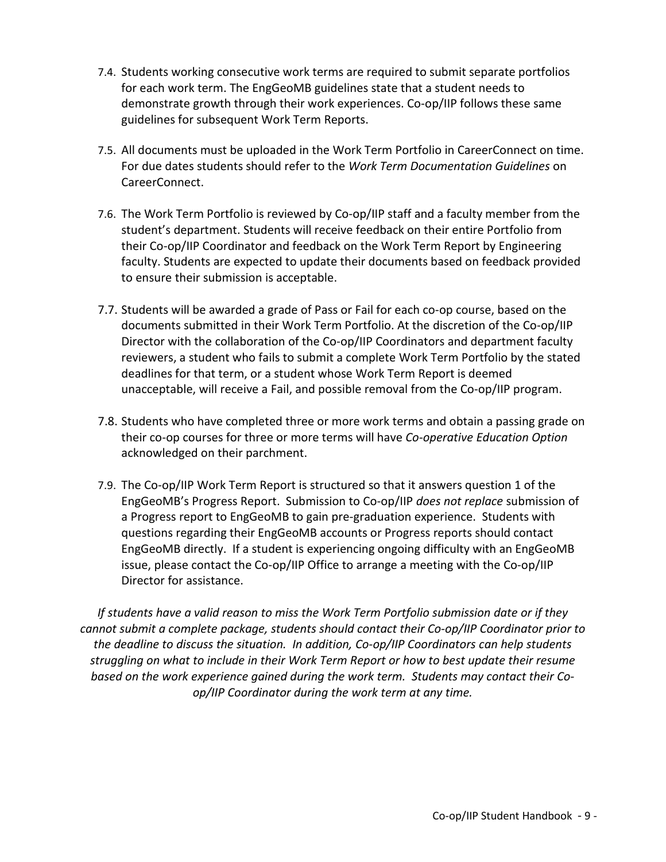- 7.4. Students working consecutive work terms are required to submit separate portfolios for each work term. The EngGeoMB guidelines state that a student needs to demonstrate growth through their work experiences. Co-op/IIP follows these same guidelines for subsequent Work Term Reports.
- 7.5. All documents must be uploaded in the Work Term Portfolio in CareerConnect on time. For due dates students should refer to the *Work Term Documentation Guidelines* on CareerConnect.
- 7.6. The Work Term Portfolio is reviewed by Co-op/IIP staff and a faculty member from the student's department. Students will receive feedback on their entire Portfolio from their Co-op/IIP Coordinator and feedback on the Work Term Report by Engineering faculty. Students are expected to update their documents based on feedback provided to ensure their submission is acceptable.
- 7.7. Students will be awarded a grade of Pass or Fail for each co-op course, based on the documents submitted in their Work Term Portfolio. At the discretion of the Co-op/IIP Director with the collaboration of the Co-op/IIP Coordinators and department faculty reviewers, a student who fails to submit a complete Work Term Portfolio by the stated deadlines for that term, or a student whose Work Term Report is deemed unacceptable, will receive a Fail, and possible removal from the Co-op/IIP program.
- 7.8. Students who have completed three or more work terms and obtain a passing grade on their co-op courses for three or more terms will have *Co-operative Education Option* acknowledged on their parchment.
- 7.9. The Co-op/IIP Work Term Report is structured so that it answers question 1 of the EngGeoMB's Progress Report. Submission to Co-op/IIP *does not replace* submission of a Progress report to EngGeoMB to gain pre-graduation experience. Students with questions regarding their EngGeoMB accounts or Progress reports should contact EngGeoMB directly. If a student is experiencing ongoing difficulty with an EngGeoMB issue, please contact the Co-op/IIP Office to arrange a meeting with the Co-op/IIP Director for assistance.

*If students have a valid reason to miss the Work Term Portfolio submission date or if they cannot submit a complete package, students should contact their Co-op/IIP Coordinator prior to the deadline to discuss the situation. In addition, Co-op/IIP Coordinators can help students struggling on what to include in their Work Term Report or how to best update their resume based on the work experience gained during the work term. Students may contact their Coop/IIP Coordinator during the work term at any time.*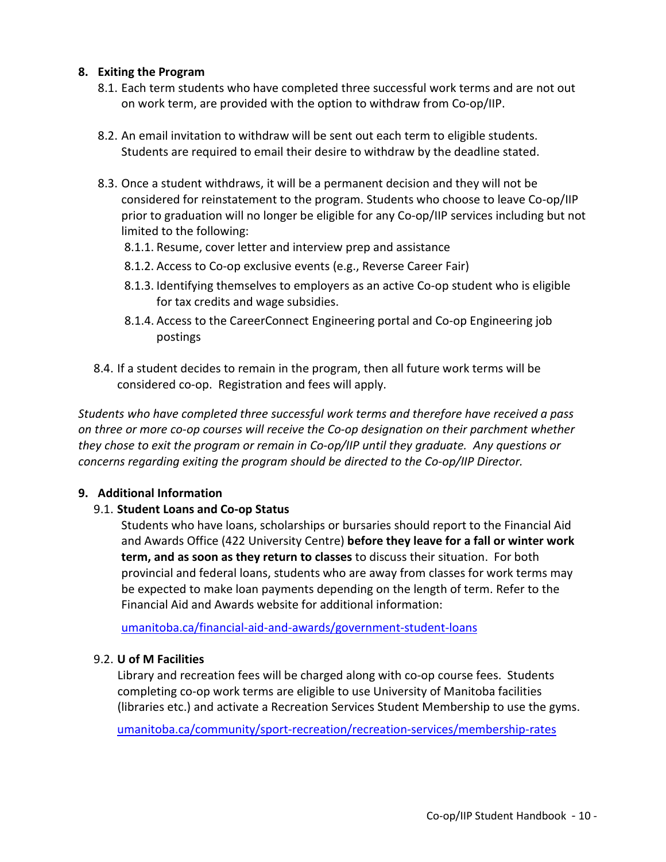#### **8. Exiting the Program**

- 8.1. Each term students who have completed three successful work terms and are not out on work term, are provided with the option to withdraw from Co-op/IIP.
- 8.2. An email invitation to withdraw will be sent out each term to eligible students. Students are required to email their desire to withdraw by the deadline stated.
- 8.3. Once a student withdraws, it will be a permanent decision and they will not be considered for reinstatement to the program. Students who choose to leave Co-op/IIP prior to graduation will no longer be eligible for any Co-op/IIP services including but not limited to the following:
	- 8.1.1. Resume, cover letter and interview prep and assistance
	- 8.1.2. Access to Co-op exclusive events (e.g., Reverse Career Fair)
	- 8.1.3. Identifying themselves to employers as an active Co-op student who is eligible for tax credits and wage subsidies.
	- 8.1.4. Access to the CareerConnect Engineering portal and Co-op Engineering job postings
- 8.4. If a student decides to remain in the program, then all future work terms will be considered co-op. Registration and fees will apply.

*Students who have completed three successful work terms and therefore have received a pass on three or more co-op courses will receive the Co-op designation on their parchment whether they chose to exit the program or remain in Co-op/IIP until they graduate. Any questions or concerns regarding exiting the program should be directed to the Co-op/IIP Director.*

#### **9. Additional Information**

#### 9.1. **Student Loans and Co-op Status**

Students who have loans, scholarships or bursaries should report to the Financial Aid and Awards Office (422 University Centre) **before they leave for a fall or winter work term, and as soon as they return to classes** to discuss their situation. For both provincial and federal loans, students who are away from classes for work terms may be expected to make loan payments depending on the length of term. Refer to the Financial Aid and Awards website for additional information:

umanitoba.ca/financial-aid-and-awards/government-student-loans

#### 9.2. **U of M Facilities**

Library and recreation fees will be charged along with co-op course fees. Students completing co-op work terms are eligible to use University of Manitoba facilities (libraries etc.) and activate a Recreation Services Student Membership to use the gyms.

umanitoba.ca/community/sport-recreation/recreation-services/membership-rates